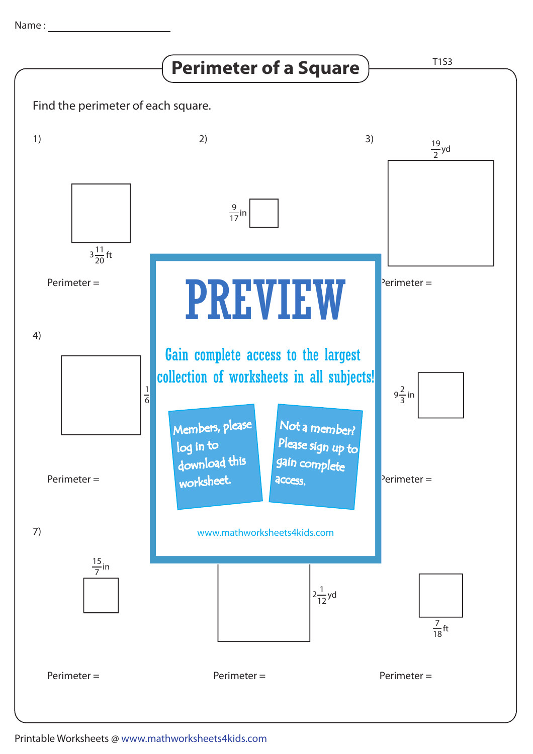